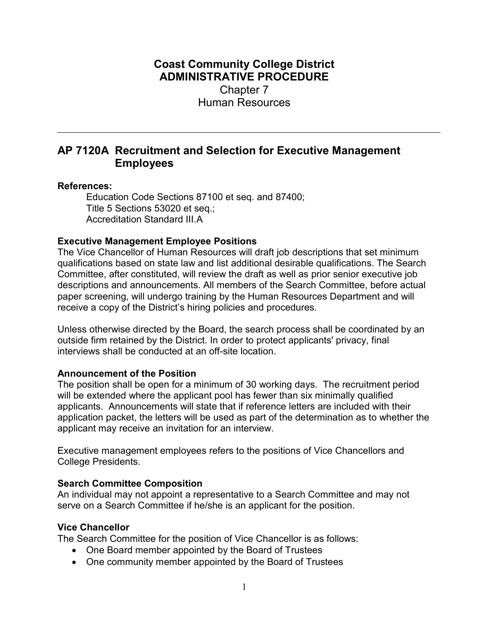## Coast Community College District ADMINISTRATIVE PROCEDURE Chapter 7 Human Resources

# AP 7120A Recruitment and Selection for Executive Management Employees

#### References:

Education Code Sections 87100 et seq. and 87400; Title 5 Sections 53020 et seq.; Accreditation Standard III.A

## Executive Management Employee Positions

The Vice Chancellor of Human Resources will draft job descriptions that set minimum qualifications based on state law and list additional desirable qualifications. The Search Committee, after constituted, will review the draft as well as prior senior executive job descriptions and announcements. All members of the Search Committee, before actual paper screening, will undergo training by the Human Resources Department and will receive a copy of the District's hiring policies and procedures.

Unless otherwise directed by the Board, the search process shall be coordinated by an outside firm retained by the District. In order to protect applicants' privacy, final interviews shall be conducted at an off-site location.

## Announcement of the Position

The position shall be open for a minimum of 30 working days. The recruitment period will be extended where the applicant pool has fewer than six minimally qualified applicants. Announcements will state that if reference letters are included with their application packet, the letters will be used as part of the determination as to whether the applicant may receive an invitation for an interview.

Executive management employees refers to the positions of Vice Chancellors and College Presidents.

## Search Committee Composition

An individual may not appoint a representative to a Search Committee and may not serve on a Search Committee if he/she is an applicant for the position.

#### Vice Chancellor

The Search Committee for the position of Vice Chancellor is as follows:

- One Board member appointed by the Board of Trustees
- One community member appointed by the Board of Trustees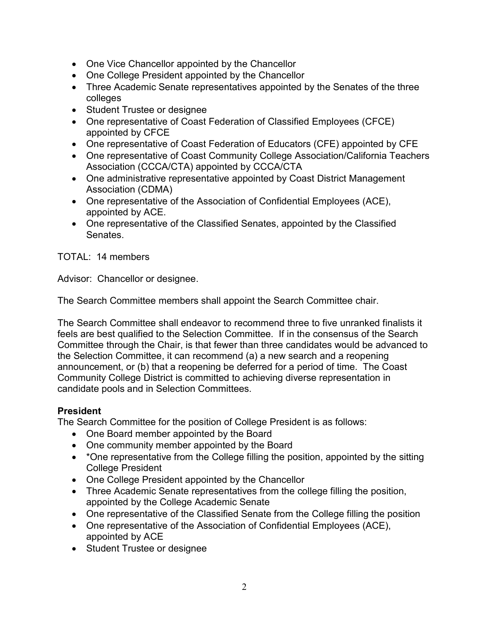- One Vice Chancellor appointed by the Chancellor
- One College President appointed by the Chancellor
- Three Academic Senate representatives appointed by the Senates of the three colleges
- Student Trustee or designee
- One representative of Coast Federation of Classified Employees (CFCE) appointed by CFCE
- One representative of Coast Federation of Educators (CFE) appointed by CFE
- One representative of Coast Community College Association/California Teachers Association (CCCA/CTA) appointed by CCCA/CTA
- One administrative representative appointed by Coast District Management Association (CDMA)
- One representative of the Association of Confidential Employees (ACE), appointed by ACE.
- One representative of the Classified Senates, appointed by the Classified Senates.

TOTAL: 14 members

Advisor: Chancellor or designee.

The Search Committee members shall appoint the Search Committee chair.

The Search Committee shall endeavor to recommend three to five unranked finalists it feels are best qualified to the Selection Committee. If in the consensus of the Search Committee through the Chair, is that fewer than three candidates would be advanced to the Selection Committee, it can recommend (a) a new search and a reopening announcement, or (b) that a reopening be deferred for a period of time. The Coast Community College District is committed to achieving diverse representation in candidate pools and in Selection Committees.

## President

The Search Committee for the position of College President is as follows:

- One Board member appointed by the Board
- One community member appointed by the Board
- \*One representative from the College filling the position, appointed by the sitting College President
- One College President appointed by the Chancellor
- Three Academic Senate representatives from the college filling the position, appointed by the College Academic Senate
- One representative of the Classified Senate from the College filling the position
- One representative of the Association of Confidential Employees (ACE), appointed by ACE
- Student Trustee or designee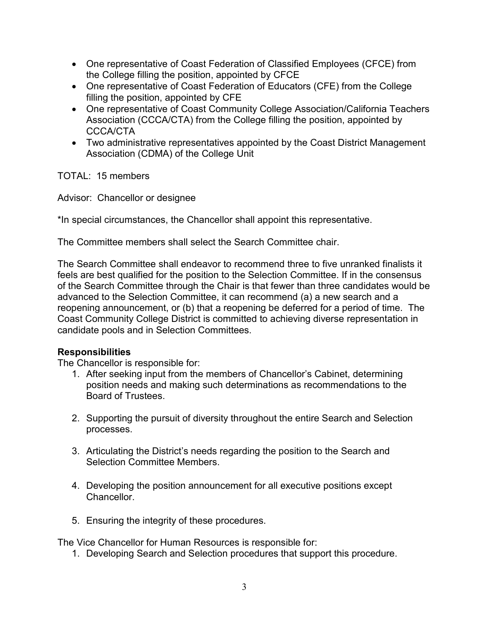- One representative of Coast Federation of Classified Employees (CFCE) from the College filling the position, appointed by CFCE
- One representative of Coast Federation of Educators (CFE) from the College filling the position, appointed by CFE
- One representative of Coast Community College Association/California Teachers Association (CCCA/CTA) from the College filling the position, appointed by CCCA/CTA
- Two administrative representatives appointed by the Coast District Management Association (CDMA) of the College Unit

TOTAL: 15 members

Advisor: Chancellor or designee

\*In special circumstances, the Chancellor shall appoint this representative.

The Committee members shall select the Search Committee chair.

The Search Committee shall endeavor to recommend three to five unranked finalists it feels are best qualified for the position to the Selection Committee. If in the consensus of the Search Committee through the Chair is that fewer than three candidates would be advanced to the Selection Committee, it can recommend (a) a new search and a reopening announcement, or (b) that a reopening be deferred for a period of time. The Coast Community College District is committed to achieving diverse representation in candidate pools and in Selection Committees.

## Responsibilities

The Chancellor is responsible for:

- 1. After seeking input from the members of Chancellor's Cabinet, determining position needs and making such determinations as recommendations to the Board of Trustees.
- 2. Supporting the pursuit of diversity throughout the entire Search and Selection processes.
- 3. Articulating the District's needs regarding the position to the Search and Selection Committee Members.
- 4. Developing the position announcement for all executive positions except Chancellor.
- 5. Ensuring the integrity of these procedures.

The Vice Chancellor for Human Resources is responsible for:

1. Developing Search and Selection procedures that support this procedure.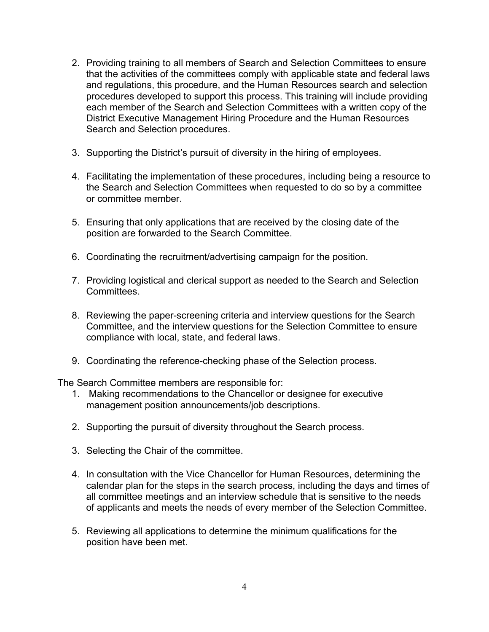- 2. Providing training to all members of Search and Selection Committees to ensure that the activities of the committees comply with applicable state and federal laws and regulations, this procedure, and the Human Resources search and selection procedures developed to support this process. This training will include providing each member of the Search and Selection Committees with a written copy of the District Executive Management Hiring Procedure and the Human Resources Search and Selection procedures.
- 3. Supporting the District's pursuit of diversity in the hiring of employees.
- 4. Facilitating the implementation of these procedures, including being a resource to the Search and Selection Committees when requested to do so by a committee or committee member.
- 5. Ensuring that only applications that are received by the closing date of the position are forwarded to the Search Committee.
- 6. Coordinating the recruitment/advertising campaign for the position.
- 7. Providing logistical and clerical support as needed to the Search and Selection Committees.
- 8. Reviewing the paper-screening criteria and interview questions for the Search Committee, and the interview questions for the Selection Committee to ensure compliance with local, state, and federal laws.
- 9. Coordinating the reference-checking phase of the Selection process.

The Search Committee members are responsible for:

- 1. Making recommendations to the Chancellor or designee for executive management position announcements/job descriptions.
- 2. Supporting the pursuit of diversity throughout the Search process.
- 3. Selecting the Chair of the committee.
- 4. In consultation with the Vice Chancellor for Human Resources, determining the calendar plan for the steps in the search process, including the days and times of all committee meetings and an interview schedule that is sensitive to the needs of applicants and meets the needs of every member of the Selection Committee.
- 5. Reviewing all applications to determine the minimum qualifications for the position have been met.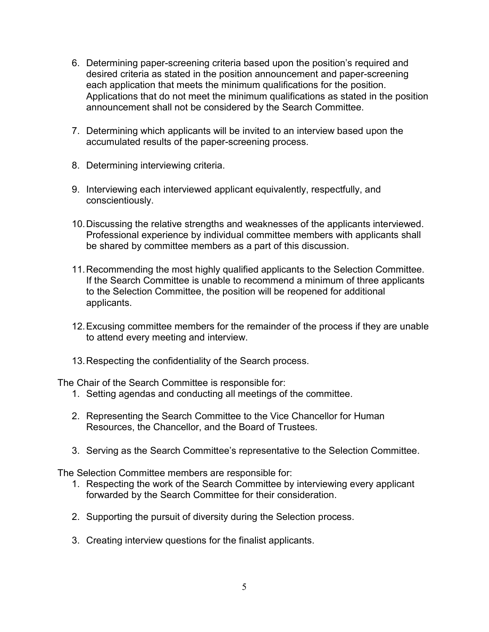- 6. Determining paper-screening criteria based upon the position's required and desired criteria as stated in the position announcement and paper-screening each application that meets the minimum qualifications for the position. Applications that do not meet the minimum qualifications as stated in the position announcement shall not be considered by the Search Committee.
- 7. Determining which applicants will be invited to an interview based upon the accumulated results of the paper-screening process.
- 8. Determining interviewing criteria.
- 9. Interviewing each interviewed applicant equivalently, respectfully, and conscientiously.
- 10. Discussing the relative strengths and weaknesses of the applicants interviewed. Professional experience by individual committee members with applicants shall be shared by committee members as a part of this discussion.
- 11. Recommending the most highly qualified applicants to the Selection Committee. If the Search Committee is unable to recommend a minimum of three applicants to the Selection Committee, the position will be reopened for additional applicants.
- 12. Excusing committee members for the remainder of the process if they are unable to attend every meeting and interview.
- 13. Respecting the confidentiality of the Search process.

The Chair of the Search Committee is responsible for:

- 1. Setting agendas and conducting all meetings of the committee.
- 2. Representing the Search Committee to the Vice Chancellor for Human Resources, the Chancellor, and the Board of Trustees.
- 3. Serving as the Search Committee's representative to the Selection Committee.

The Selection Committee members are responsible for:

- 1. Respecting the work of the Search Committee by interviewing every applicant forwarded by the Search Committee for their consideration.
- 2. Supporting the pursuit of diversity during the Selection process.
- 3. Creating interview questions for the finalist applicants.